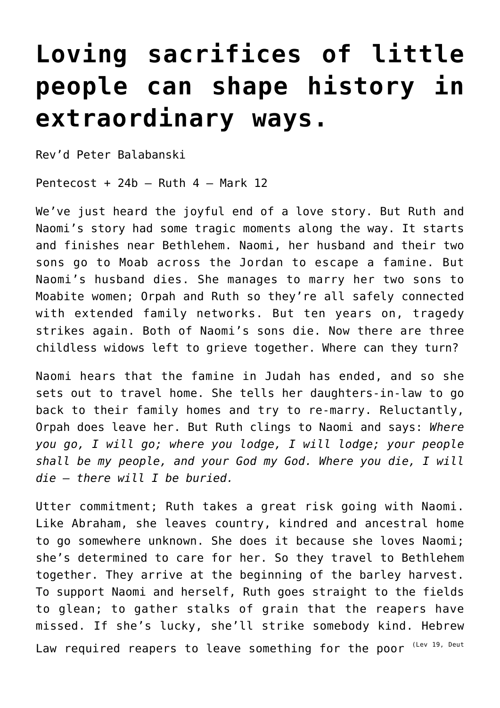## **[Loving sacrifices of little](http://stjohnsadelaide.org.au/loving-sacrifices-of-little-people-can-shape-history-in-extraordinary-ways/) [people can shape history in](http://stjohnsadelaide.org.au/loving-sacrifices-of-little-people-can-shape-history-in-extraordinary-ways/) [extraordinary ways.](http://stjohnsadelaide.org.au/loving-sacrifices-of-little-people-can-shape-history-in-extraordinary-ways/)**

Rev'd Peter Balabanski

Pentecost + 24b  $-$  Ruth 4  $-$  Mark 12

We've just heard the joyful end of a love story. But Ruth and Naomi's story had some tragic moments along the way. It starts and finishes near Bethlehem. Naomi, her husband and their two sons go to Moab across the Jordan to escape a famine. But Naomi's husband dies. She manages to marry her two sons to Moabite women; Orpah and Ruth so they're all safely connected with extended family networks. But ten years on, tragedy strikes again. Both of Naomi's sons die. Now there are three childless widows left to grieve together. Where can they turn?

Naomi hears that the famine in Judah has ended, and so she sets out to travel home. She tells her daughters-in-law to go back to their family homes and try to re-marry. Reluctantly, Orpah does leave her. But Ruth clings to Naomi and says: *Where you go, I will go; where you lodge, I will lodge; your people shall be my people, and your God my God. Where you die, I will die – there will I be buried.*

Utter commitment; Ruth takes a great risk going with Naomi. Like Abraham, she leaves country, kindred and ancestral home to go somewhere unknown. She does it because she loves Naomi; she's determined to care for her. So they travel to Bethlehem together. They arrive at the beginning of the barley harvest. To support Naomi and herself, Ruth goes straight to the fields to glean; to gather stalks of grain that the reapers have missed. If she's lucky, she'll strike somebody kind. Hebrew Law required reapers to leave something for the poor (Lev 19, Deut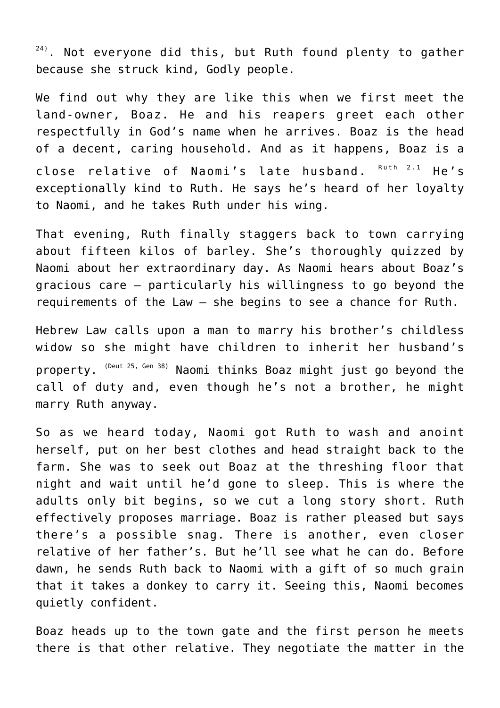$24$ ). Not everyone did this, but Ruth found plenty to gather because she struck kind, Godly people.

We find out why they are like this when we first meet the land-owner, Boaz. He and his reapers greet each other respectfully in God's name when he arrives. Boaz is the head of a decent, caring household. And as it happens, Boaz is a close relative of Naomi's late husband. Ruth 2.1 He's exceptionally kind to Ruth. He says he's heard of her loyalty to Naomi, and he takes Ruth under his wing.

That evening, Ruth finally staggers back to town carrying about fifteen kilos of barley. She's thoroughly quizzed by Naomi about her extraordinary day. As Naomi hears about Boaz's gracious care – particularly his willingness to go beyond the requirements of the Law – she begins to see a chance for Ruth.

Hebrew Law calls upon a man to marry his brother's childless widow so she might have children to inherit her husband's property. (Deut 25, Gen 38) Naomi thinks Boaz might just go beyond the call of duty and, even though he's not a brother, he might marry Ruth anyway.

So as we heard today, Naomi got Ruth to wash and anoint herself, put on her best clothes and head straight back to the farm. She was to seek out Boaz at the threshing floor that night and wait until he'd gone to sleep. This is where the adults only bit begins, so we cut a long story short. Ruth effectively proposes marriage. Boaz is rather pleased but says there's a possible snag. There is another, even closer relative of her father's. But he'll see what he can do. Before dawn, he sends Ruth back to Naomi with a gift of so much grain that it takes a donkey to carry it. Seeing this, Naomi becomes quietly confident.

Boaz heads up to the town gate and the first person he meets there is that other relative. They negotiate the matter in the